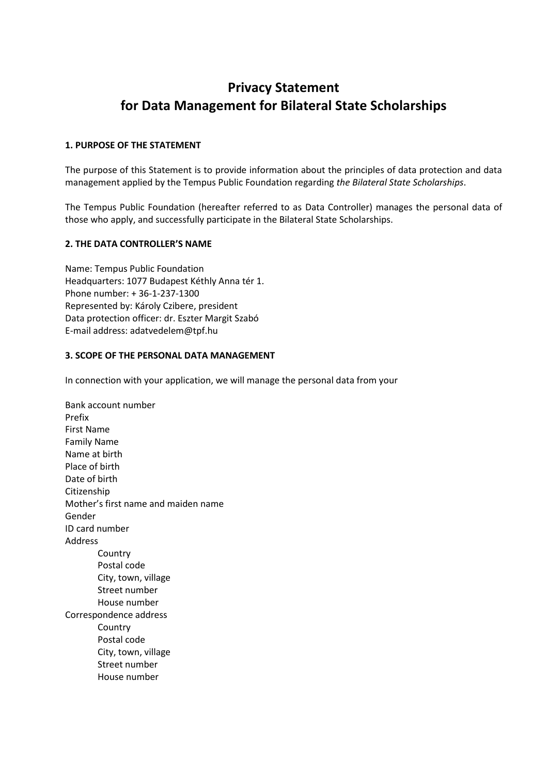# **Privacy Statement for Data Management for Bilateral State Scholarships**

### **1. PURPOSE OF THE STATEMENT**

The purpose of this Statement is to provide information about the principles of data protection and data management applied by the Tempus Public Foundation regarding *the Bilateral State Scholarships*.

The Tempus Public Foundation (hereafter referred to as Data Controller) manages the personal data of those who apply, and successfully participate in the Bilateral State Scholarships.

### **2. THE DATA CONTROLLER'S NAME**

Name: Tempus Public Foundation Headquarters: 1077 Budapest Kéthly Anna tér 1. Phone number: + 36-1-237-1300 Represented by: Károly Czibere, president Data protection officer: dr. Eszter Margit Szabó E-mail address: adatvedelem@tpf.hu

### **3. SCOPE OF THE PERSONAL DATA MANAGEMENT**

In connection with your application, we will manage the personal data from your

Bank account number Prefix First Name Family Name Name at birth Place of birth Date of birth Citizenship Mother's first name and maiden name Gender ID card number Address **Country** Postal code City, town, village Street number House number Correspondence address Country Postal code City, town, village Street number House number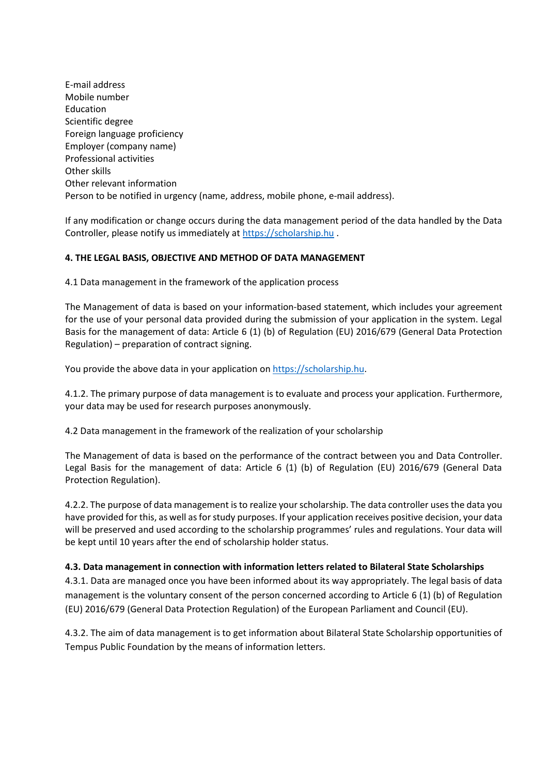E-mail address Mobile number Education Scientific degree Foreign language proficiency Employer (company name) Professional activities Other skills Other relevant information Person to be notified in urgency (name, address, mobile phone, e-mail address).

If any modification or change occurs during the data management period of the data handled by the Data Controller, please notify us immediately at [https://scholarship.hu](https://scholarship.hu/) .

## **4. THE LEGAL BASIS, OBJECTIVE AND METHOD OF DATA MANAGEMENT**

4.1 Data management in the framework of the application process

The Management of data is based on your information-based statement, which includes your agreement for the use of your personal data provided during the submission of your application in the system. Legal Basis for the management of data: Article 6 (1) (b) of Regulation (EU) 2016/679 (General Data Protection Regulation) – preparation of contract signing.

You provide the above data in your application o[n https://scholarship.hu.](https://scholarship.hu/)

4.1.2. The primary purpose of data management is to evaluate and process your application. Furthermore, your data may be used for research purposes anonymously.

4.2 Data management in the framework of the realization of your scholarship

The Management of data is based on the performance of the contract between you and Data Controller. Legal Basis for the management of data: Article 6 (1) (b) of Regulation (EU) 2016/679 (General Data Protection Regulation).

4.2.2. The purpose of data management is to realize your scholarship. The data controller uses the data you have provided for this, as well as for study purposes. If your application receives positive decision, your data will be preserved and used according to the scholarship programmes' rules and regulations. Your data will be kept until 10 years after the end of scholarship holder status.

## **4.3. Data management in connection with information letters related to Bilateral State Scholarships**

4.3.1. Data are managed once you have been informed about its way appropriately. The legal basis of data management is the voluntary consent of the person concerned according to Article 6 (1) (b) of Regulation (EU) 2016/679 (General Data Protection Regulation) of the European Parliament and Council (EU).

4.3.2. The aim of data management is to get information about Bilateral State Scholarship opportunities of Tempus Public Foundation by the means of information letters.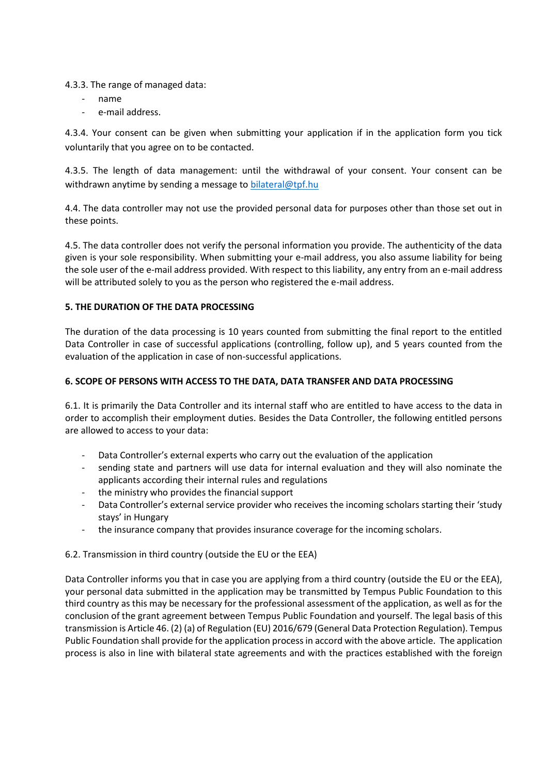4.3.3. The range of managed data:

- name
- e-mail address.

4.3.4. Your consent can be given when submitting your application if in the application form you tick voluntarily that you agree on to be contacted.

4.3.5. The length of data management: until the withdrawal of your consent. Your consent can be withdrawn anytime by sending a message to [bilateral@tpf.hu](mailto:bilateral@tpf.hu)

4.4. The data controller may not use the provided personal data for purposes other than those set out in these points.

4.5. The data controller does not verify the personal information you provide. The authenticity of the data given is your sole responsibility. When submitting your e-mail address, you also assume liability for being the sole user of the e-mail address provided. With respect to this liability, any entry from an e-mail address will be attributed solely to you as the person who registered the e-mail address.

## **5. THE DURATION OF THE DATA PROCESSING**

The duration of the data processing is 10 years counted from submitting the final report to the entitled Data Controller in case of successful applications (controlling, follow up), and 5 years counted from the evaluation of the application in case of non-successful applications.

## **6. SCOPE OF PERSONS WITH ACCESS TO THE DATA, DATA TRANSFER AND DATA PROCESSING**

6.1. It is primarily the Data Controller and its internal staff who are entitled to have access to the data in order to accomplish their employment duties. Besides the Data Controller, the following entitled persons are allowed to access to your data:

- Data Controller's external experts who carry out the evaluation of the application
- sending state and partners will use data for internal evaluation and they will also nominate the applicants according their internal rules and regulations
- the ministry who provides the financial support
- Data Controller's external service provider who receives the incoming scholars starting their 'study stays' in Hungary
- the insurance company that provides insurance coverage for the incoming scholars.

## 6.2. Transmission in third country (outside the EU or the EEA)

Data Controller informs you that in case you are applying from a third country (outside the EU or the EEA), your personal data submitted in the application may be transmitted by Tempus Public Foundation to this third country as this may be necessary for the professional assessment of the application, as well as for the conclusion of the grant agreement between Tempus Public Foundation and yourself. The legal basis of this transmission is Article 46. (2) (a) of Regulation (EU) 2016/679 (General Data Protection Regulation). Tempus Public Foundation shall provide for the application process in accord with the above article. The application process is also in line with bilateral state agreements and with the practices established with the foreign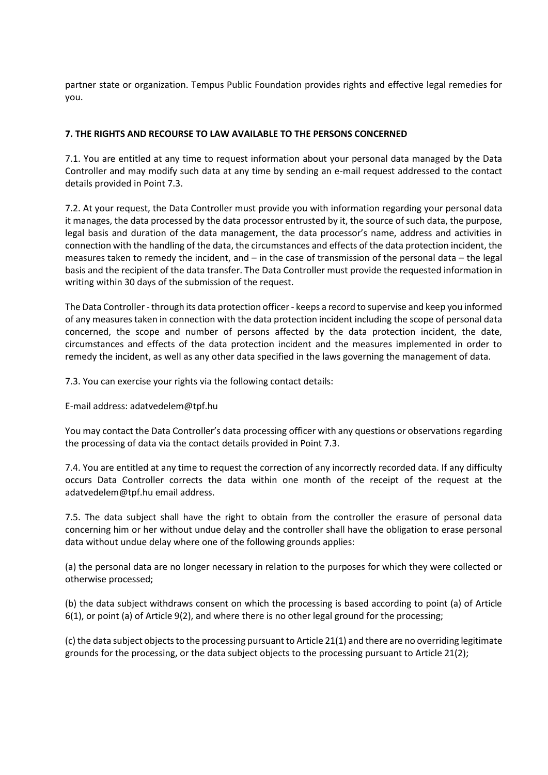partner state or organization. Tempus Public Foundation provides rights and effective legal remedies for you.

#### **7. THE RIGHTS AND RECOURSE TO LAW AVAILABLE TO THE PERSONS CONCERNED**

7.1. You are entitled at any time to request information about your personal data managed by the Data Controller and may modify such data at any time by sending an e-mail request addressed to the contact details provided in Point 7.3.

7.2. At your request, the Data Controller must provide you with information regarding your personal data it manages, the data processed by the data processor entrusted by it, the source of such data, the purpose, legal basis and duration of the data management, the data processor's name, address and activities in connection with the handling of the data, the circumstances and effects of the data protection incident, the measures taken to remedy the incident, and – in the case of transmission of the personal data – the legal basis and the recipient of the data transfer. The Data Controller must provide the requested information in writing within 30 days of the submission of the request.

The Data Controller -through its data protection officer - keeps a record to supervise and keep you informed of any measures taken in connection with the data protection incident including the scope of personal data concerned, the scope and number of persons affected by the data protection incident, the date, circumstances and effects of the data protection incident and the measures implemented in order to remedy the incident, as well as any other data specified in the laws governing the management of data.

7.3. You can exercise your rights via the following contact details:

E-mail address: adatvedelem@tpf.hu

You may contact the Data Controller's data processing officer with any questions or observations regarding the processing of data via the contact details provided in Point 7.3.

7.4. You are entitled at any time to request the correction of any incorrectly recorded data. If any difficulty occurs Data Controller corrects the data within one month of the receipt of the request at the adatvedelem@tpf.hu email address.

7.5. The data subject shall have the right to obtain from the controller the erasure of personal data concerning him or her without undue delay and the controller shall have the obligation to erase personal data without undue delay where one of the following grounds applies:

(a) the personal data are no longer necessary in relation to the purposes for which they were collected or otherwise processed;

(b) the data subject withdraws consent on which the processing is based according to point (a) of Article 6(1), or point (a) of Article 9(2), and where there is no other legal ground for the processing;

(c) the data subject objects to the processing pursuant to Article 21(1) and there are no overriding legitimate grounds for the processing, or the data subject objects to the processing pursuant to Article 21(2);